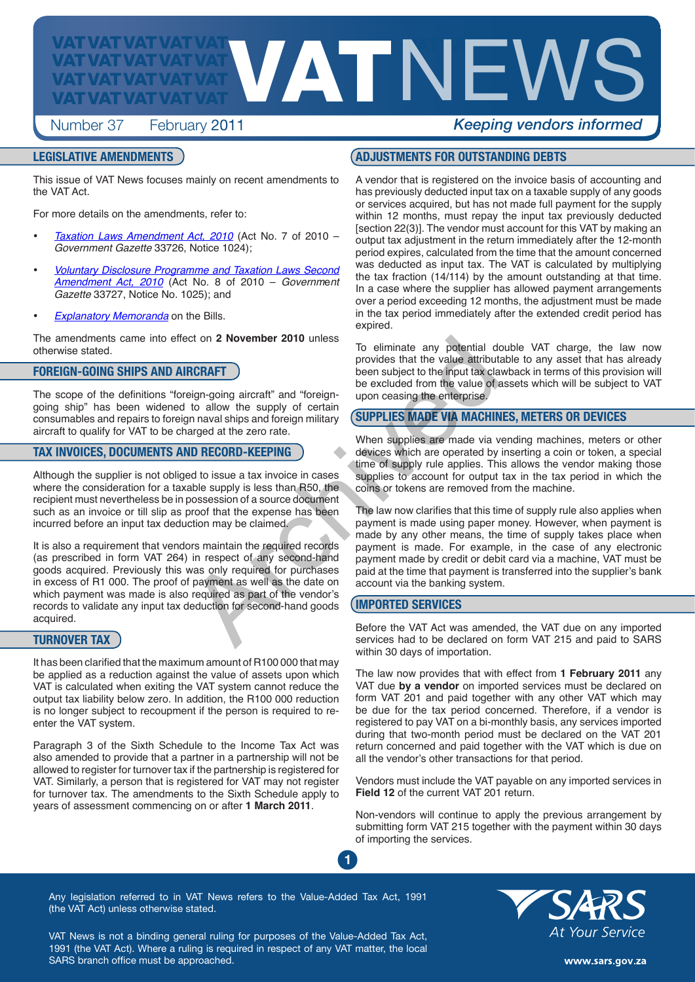

# Number 37 February 2011 *Keeping vendors informed*

### **LEGISLATIVE AMENDMENTS**

This issue of VAT News focuses mainly on recent amendments to the VAT Act.

For more details on the amendments, refer to:

- [Taxation Laws Amendment Act, 2010](http://www.sars.gov.za/home.asp?pid=2629)</u> (Act No. 7 of 2010 *Government Gazette* 33726, Notice 1024);
- **Voluntary Disclosure Programme and Taxation Laws Second** *Amendment Act, 2010* (Act No. 8 of 2010 – *Governm*e*nt Gazette* 33727, Notice No. 1025); and
- *[Explanatory Memoranda](http://www.sars.gov.za/home.asp?pid=2631)* on the Bills.

The amendments came into effect on **2 November 2010** unless otherwise stated.

### **FOREIGN-GOING SHIPS AND AIRCRAFT**

The scope of the definitions "foreign-going aircraft" and "foreigngoing ship" has been widened to allow the supply of certain consumables and repairs to foreign naval ships and foreign military aircraft to qualify for VAT to be charged at the zero rate.

### **TAX INVOICES, DOCUMENTS AND RECORD-KEEPING**

Although the supplier is not obliged to issue a tax invoice in cases where the consideration for a taxable supply is less than R50, the recipient must nevertheless be in possession of a source document such as an invoice or till slip as proof that the expense has been incurred before an input tax deduction may be claimed.

It is also a requirement that vendors maintain the required records (as prescribed in form VAT 264) in respect of any second-hand goods acquired. Previously this was only required for purchases in excess of R1 000. The proof of payment as well as the date on which payment was made is also required as part of the vendor's records to validate any input tax deduction for second-hand goods acquired. For eliminate any potential derivation of a subset of the VAT Act was a<br>
Howevides that the value attribution the subject to the input tax cla<br>
eign-going aircraft" and "foreign-<br>
upon ceasing the enterprise.<br>
to allow the

### **TURNOVER TAX**

It has been clarified that the maximum amount of R100 000 that may be applied as a reduction against the value of assets upon which VAT is calculated when exiting the VAT system cannot reduce the output tax liability below zero. In addition, the R100 000 reduction is no longer subject to recoupment if the person is required to reenter the VAT system.

Paragraph 3 of the Sixth Schedule to the Income Tax Act was also amended to provide that a partner in a partnership will not be allowed to register for turnover tax if the partnership is registered for VAT. Similarly, a person that is registered for VAT may not register for turnover tax. The amendments to the Sixth Schedule apply to years of assessment commencing on or after **1 March 2011**.

### **ADJUSTMENTS FOR OUTSTANDING DEBTS**

A vendor that is registered on the invoice basis of accounting and has previously deducted input tax on a taxable supply of any goods or services acquired, but has not made full payment for the supply within 12 months, must repay the input tax previously deducted [section 22(3)]. The vendor must account for this VAT by making an output tax adjustment in the return immediately after the 12-month period expires, calculated from the time that the amount concerned was deducted as input tax. The VAT is calculated by multiplying the tax fraction (14/114) by the amount outstanding at that time. In a case where the supplier has allowed payment arrangements over a period exceeding 12 months, the adjustment must be made in the tax period immediately after the extended credit period has expired.

To eliminate any potential double VAT charge, the law now provides that the value attributable to any asset that has already been subject to the input tax clawback in terms of this provision will be excluded from the value of assets which will be subject to VAT upon ceasing the enterprise.

### **SUPPLIES MADE VIA MACHINES, METERS OR DEVICES**

When supplies are made via vending machines, meters or other devices which are operated by inserting a coin or token, a special time of supply rule applies. This allows the vendor making those supplies to account for output tax in the tax period in which the coins or tokens are removed from the machine.

The law now clarifies that this time of supply rule also applies when payment is made using paper money. However, when payment is made by any other means, the time of supply takes place when payment is made. For example, in the case of any electronic payment made by credit or debit card via a machine, VAT must be paid at the time that payment is transferred into the supplier's bank account via the banking system.

### **IMPORTED SERVICES**

**1**

Before the VAT Act was amended, the VAT due on any imported services had to be declared on form VAT 215 and paid to SARS within 30 days of importation.

The law now provides that with effect from **1 February 2011** any VAT due **by a vendor** on imported services must be declared on form VAT 201 and paid together with any other VAT which may be due for the tax period concerned. Therefore, if a vendor is registered to pay VAT on a bi-monthly basis, any services imported during that two-month period must be declared on the VAT 201 return concerned and paid together with the VAT which is due on all the vendor's other transactions for that period.

Vendors must include the VAT payable on any imported services in **Field 12** of the current VAT 201 return.

Non-vendors will continue to apply the previous arrangement by submitting form VAT 215 together with the payment within 30 days of importing the services.

Any legislation referred to in VAT News refers to the Value-Added Tax Act, 1991 (the VAT Act) unless otherwise stated.

VAT News is not a binding general ruling for purposes of the Value-Added Tax Act, 1991 (the VAT Act). Where a ruling is required in respect of any VAT matter, the local SARS branch office must be approached.



www.sars.gov.za